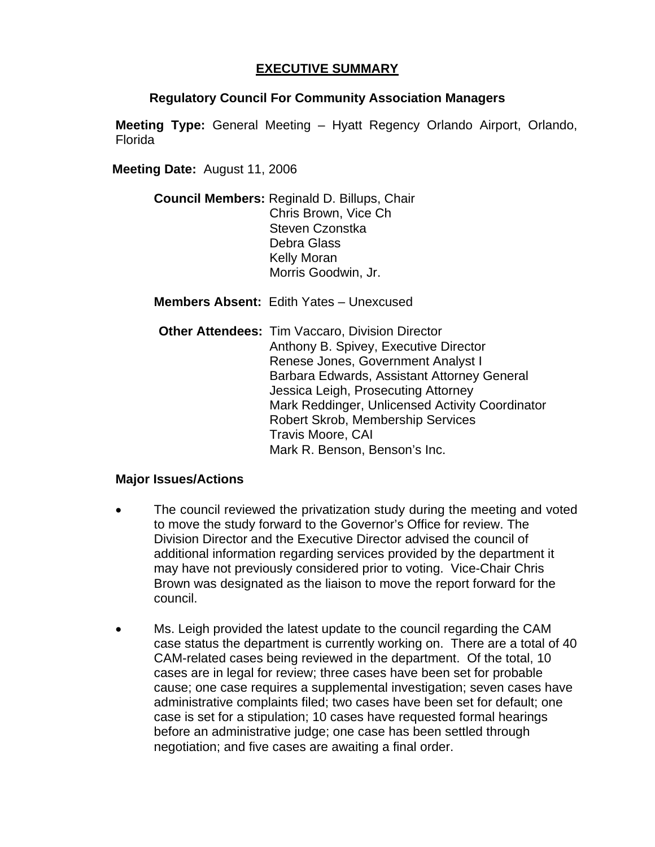## **EXECUTIVE SUMMARY**

## **Regulatory Council For Community Association Managers**

**Meeting Type:** General Meeting – Hyatt Regency Orlando Airport, Orlando, Florida

**Meeting Date:** August 11, 2006

**Council Members:** Reginald D. Billups, Chair Chris Brown, Vice Ch Steven Czonstka Debra Glass Kelly Moran Morris Goodwin, Jr.

**Members Absent:** Edith Yates – Unexcused

**Other Attendees: Tim Vaccaro, Division Director** Anthony B. Spivey, Executive Director Renese Jones, Government Analyst I Barbara Edwards, Assistant Attorney General Jessica Leigh, Prosecuting Attorney Mark Reddinger, Unlicensed Activity Coordinator Robert Skrob, Membership Services Travis Moore, CAI Mark R. Benson, Benson's Inc.

## **Major Issues/Actions**

- The council reviewed the privatization study during the meeting and voted to move the study forward to the Governor's Office for review. The Division Director and the Executive Director advised the council of additional information regarding services provided by the department it may have not previously considered prior to voting. Vice-Chair Chris Brown was designated as the liaison to move the report forward for the council.
- Ms. Leigh provided the latest update to the council regarding the CAM case status the department is currently working on. There are a total of 40 CAM-related cases being reviewed in the department. Of the total, 10 cases are in legal for review; three cases have been set for probable cause; one case requires a supplemental investigation; seven cases have administrative complaints filed; two cases have been set for default; one case is set for a stipulation; 10 cases have requested formal hearings before an administrative judge; one case has been settled through negotiation; and five cases are awaiting a final order.